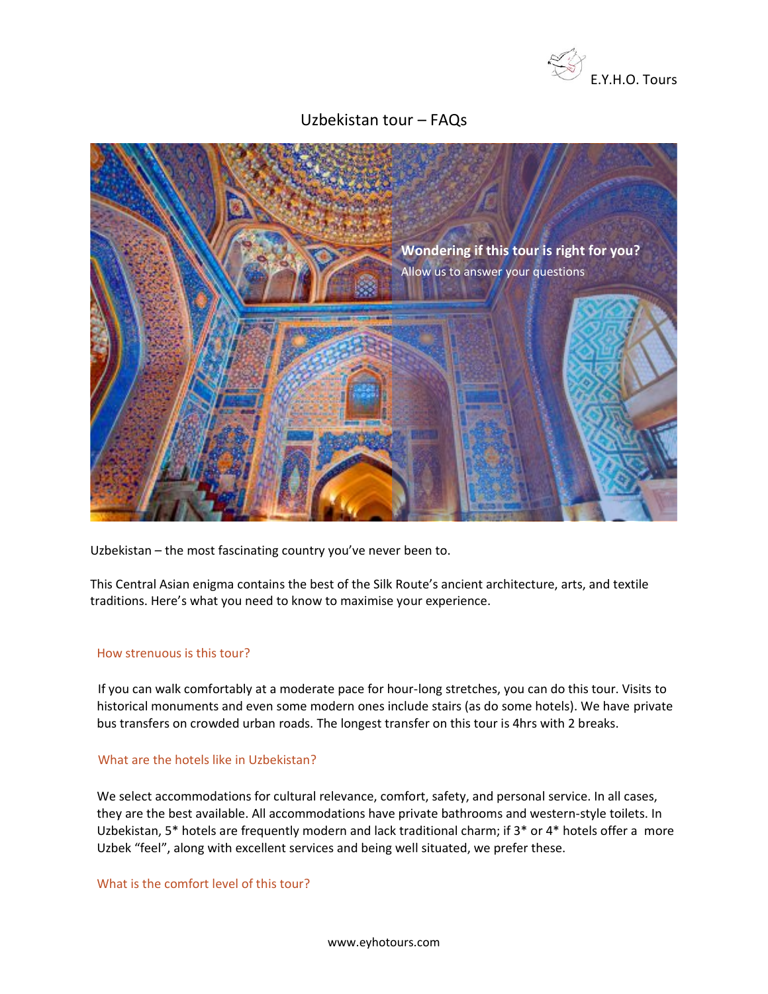

# Uzbekistan tour – FAQs



Uzbekistan – the most fascinating country you've never been to.

This Central Asian enigma contains the best of the Silk Route's ancient architecture, arts, and textile traditions. Here's what you need to know to maximise your experience.

#### How strenuous is this tour?

If you can walk comfortably at a moderate pace for hour-long stretches, you can do this tour. Visits to historical monuments and even some modern ones include stairs (as do some hotels). We have private bus transfers on crowded urban roads. The longest transfer on this tour is 4hrs with 2 breaks.

## What are the hotels like in Uzbekistan?

We select accommodations for cultural relevance, comfort, safety, and personal service. In all cases, they are the best available. All accommodations have private bathrooms and western-style toilets. In Uzbekistan, 5\* hotels are frequently modern and lack traditional charm; if 3\* or 4\* hotels offer a more Uzbek "feel", along with excellent services and being well situated, we prefer these.

What is the comfort level of this tour?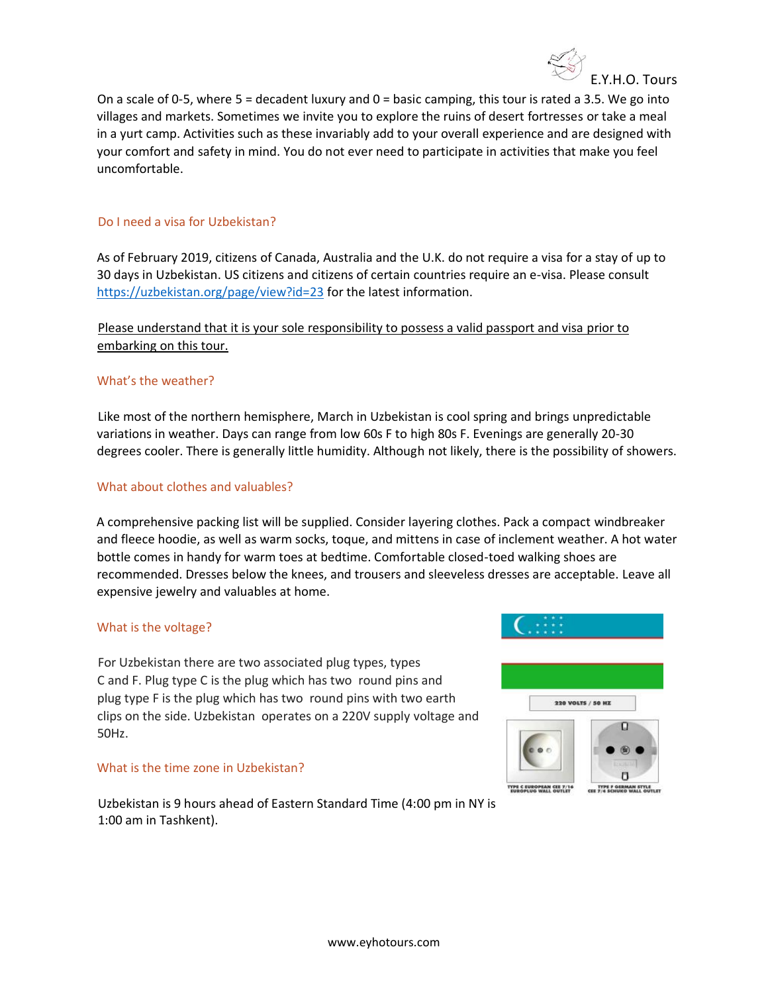

On a scale of 0-5, where  $5 =$  decadent luxury and  $0 =$  basic camping, this tour is rated a 3.5. We go into villages and markets. Sometimes we invite you to explore the ruins of desert fortresses or take a meal in a yurt camp. Activities such as these invariably add to your overall experience and are designed with your comfort and safety in mind. You do not ever need to participate in activities that make you feel uncomfortable.

## Do I need a visa for Uzbekistan?

As of February 2019, citizens of Canada, Australia and the U.K. do not require a visa for a stay of up to 30 days in Uzbekistan. US citizens and citizens of certain countries require an e-visa. Please consult <https://uzbekistan.org/page/view?id=23> for the latest information.

## Please understand that it is your sole responsibility to possess a valid passport and visa prior to embarking on this tour.

## What's the weather?

Like most of the northern hemisphere, March in Uzbekistan is cool spring and brings unpredictable variations in weather. Days can range from low 60s F to high 80s F. Evenings are generally 20-30 degrees cooler. There is generally little humidity. Although not likely, there is the possibility of showers.

## What about clothes and valuables?

A comprehensive packing list will be supplied. Consider layering clothes. Pack a compact windbreaker and fleece hoodie, as well as warm socks, toque, and mittens in case of inclement weather. A hot water bottle comes in handy for warm toes at bedtime. Comfortable closed-toed walking shoes are recommended. Dresses below the knees, and trousers and sleeveless dresses are acceptable. Leave all expensive jewelry and valuables at home.

## What is the voltage?

For Uzbekistan there are two associated plug types, types C and F. Plug type C is the plug which has two round pins and plug type F is the plug which has two round pins with two earth clips on the side. Uzbekistan operates on a 220V supply voltage and 50Hz.

#### What is the time zone in Uzbekistan?

Uzbekistan is 9 hours ahead of Eastern Standard Time (4:00 pm in NY is 1:00 am in Tashkent).



TYPE F GERMAN STYLE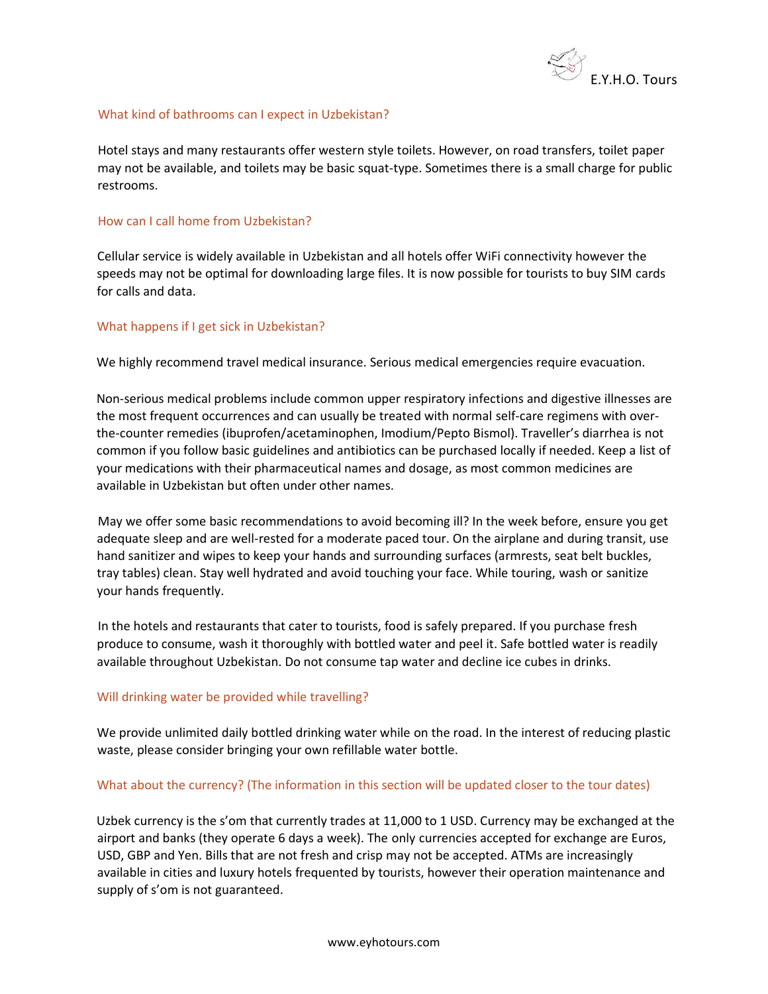

#### What kind of bathrooms can I expect in Uzbekistan?

Hotel stays and many restaurants offer western style toilets. However, on road transfers, toilet paper may not be available, and toilets may be basic squat-type. Sometimes there is a small charge for public restrooms.

#### How can I call home from Uzbekistan?

Cellular service is widely available in Uzbekistan and all hotels offer WiFi connectivity however the speeds may not be optimal for downloading large files. It is now possible for tourists to buy SIM cards for calls and data.

## What happens if I get sick in Uzbekistan?

We highly recommend travel medical insurance. Serious medical emergencies require evacuation.

Non-serious medical problems include common upper respiratory infections and digestive illnesses are the most frequent occurrences and can usually be treated with normal self-care regimens with overthe-counter remedies (ibuprofen/acetaminophen, Imodium/Pepto Bismol). Traveller's diarrhea is not common if you follow basic guidelines and antibiotics can be purchased locally if needed. Keep a list of your medications with their pharmaceutical names and dosage, as most common medicines are available in Uzbekistan but often under other names.

May we offer some basic recommendations to avoid becoming ill? In the week before, ensure you get adequate sleep and are well-rested for a moderate paced tour. On the airplane and during transit, use hand sanitizer and wipes to keep your hands and surrounding surfaces (armrests, seat belt buckles, tray tables) clean. Stay well hydrated and avoid touching your face. While touring, wash or sanitize your hands frequently.

In the hotels and restaurants that cater to tourists, food is safely prepared. If you purchase fresh produce to consume, wash it thoroughly with bottled water and peel it. Safe bottled water is readily available throughout Uzbekistan. Do not consume tap water and decline ice cubes in drinks.

#### Will drinking water be provided while travelling?

We provide unlimited daily bottled drinking water while on the road. In the interest of reducing plastic waste, please consider bringing your own refillable water bottle.

#### What about the currency? (The information in this section will be updated closer to the tour dates)

Uzbek currency is the s'om that currently trades at 11,000 to 1 USD. Currency may be exchanged at the airport and banks (they operate 6 days a week). The only currencies accepted for exchange are Euros, USD, GBP and Yen. Bills that are not fresh and crisp may not be accepted. ATMs are increasingly available in cities and luxury hotels frequented by tourists, however their operation maintenance and supply of s'om is not guaranteed.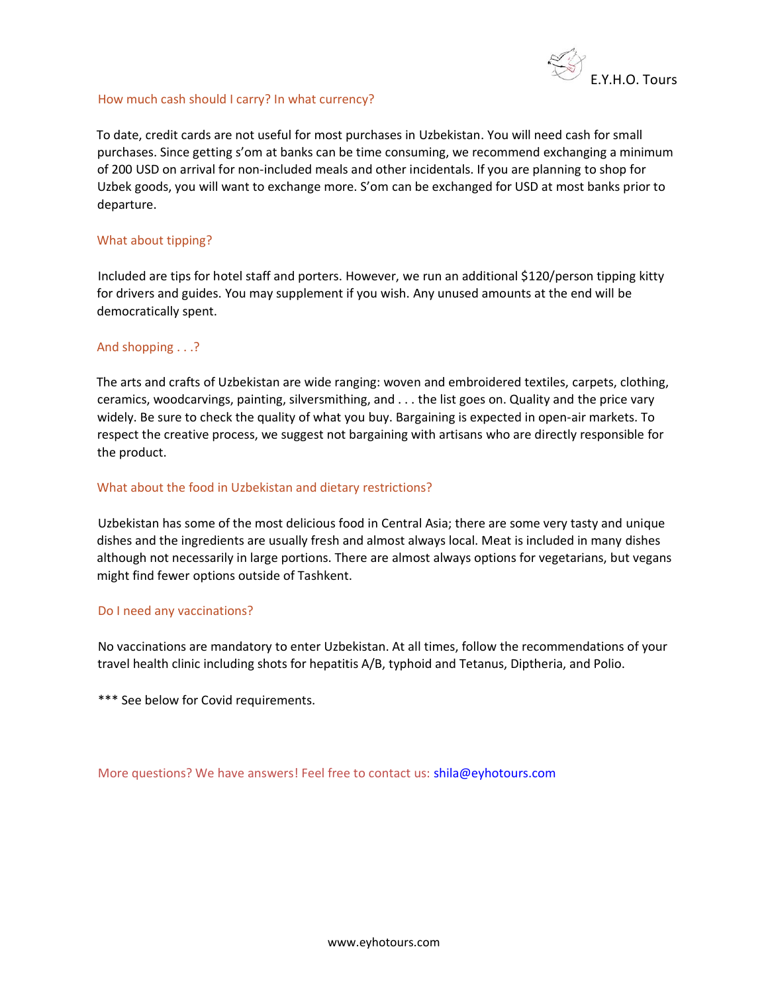

#### How much cash should I carry? In what currency?

To date, credit cards are not useful for most purchases in Uzbekistan. You will need cash for small purchases. Since getting s'om at banks can be time consuming, we recommend exchanging a minimum of 200 USD on arrival for non-included meals and other incidentals. If you are planning to shop for Uzbek goods, you will want to exchange more. S'om can be exchanged for USD at most banks prior to departure.

### What about tipping?

Included are tips for hotel staff and porters. However, we run an additional \$120/person tipping kitty for drivers and guides. You may supplement if you wish. Any unused amounts at the end will be democratically spent.

#### And shopping . . .?

The arts and crafts of Uzbekistan are wide ranging: woven and embroidered textiles, carpets, clothing, ceramics, woodcarvings, painting, silversmithing, and . . . the list goes on. Quality and the price vary widely. Be sure to check the quality of what you buy. Bargaining is expected in open-air markets. To respect the creative process, we suggest not bargaining with artisans who are directly responsible for the product.

#### What about the food in Uzbekistan and dietary restrictions?

Uzbekistan has some of the most delicious food in Central Asia; there are some very tasty and unique dishes and the ingredients are usually fresh and almost always local. Meat is included in many dishes although not necessarily in large portions. There are almost always options for vegetarians, but vegans might find fewer options outside of Tashkent.

#### Do I need any vaccinations?

No vaccinations are mandatory to enter Uzbekistan. At all times, follow the recommendations of your travel health clinic including shots for hepatitis A/B, typhoid and Tetanus, Diptheria, and Polio.

\*\*\* See below for Covid requirements.

More questions? We have answers! Feel free to contact us: shila@eyhotours.com